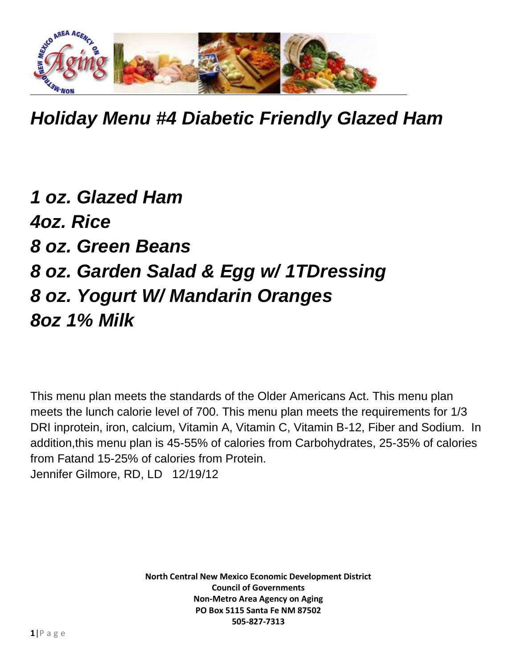

*Holiday Menu #4 Diabetic Friendly Glazed Ham*

## *1 oz. Glazed Ham 4oz. Rice 8 oz. Green Beans 8 oz. Garden Salad & Egg w/ 1TDressing 8 oz. Yogurt W/ Mandarin Oranges 8oz 1% Milk*

This menu plan meets the standards of the Older Americans Act. This menu plan meets the lunch calorie level of 700. This menu plan meets the requirements for 1/3 DRI inprotein, iron, calcium, Vitamin A, Vitamin C, Vitamin B-12, Fiber and Sodium. In addition,this menu plan is 45-55% of calories from Carbohydrates, 25-35% of calories from Fatand 15-25% of calories from Protein. Jennifer Gilmore, RD, LD 12/19/12

> **North Central New Mexico Economic Development District Council of Governments Non-Metro Area Agency on Aging PO Box 5115 Santa Fe NM 87502 505-827-7313**